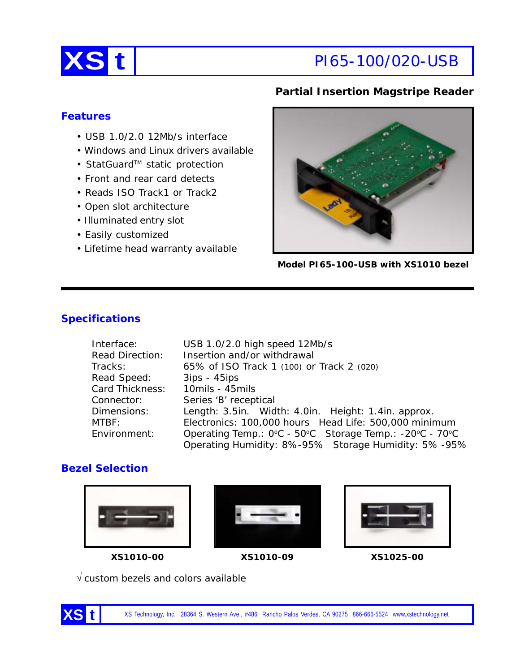

# **XS t** PI65-100/020-USB

## **Partial Insertion Magstripe Reader**

## **Features**

- USB 1.0/2.0 12Mb/s interface
- Windows and Linux drivers available
- StatGuard™ static protection
- Front and rear card detects
- Reads ISO Track1 or Track2
- Open slot architecture
- Illuminated entry slot
- Easily customized
- Lifetime head warranty available



**Model PI65-100-USB with XS1010 bezel**

## **Specifications**

| Interface:             | USB 1.0/2.0 high speed 12Mb/s                           |  |  |
|------------------------|---------------------------------------------------------|--|--|
| <b>Read Direction:</b> | Insertion and/or withdrawal                             |  |  |
| Tracks:                | 65% of ISO Track 1 (100) or Track 2 (020)               |  |  |
| Read Speed:            | $3ips - 45ips$                                          |  |  |
| Card Thickness:        | 10mils - 45mils                                         |  |  |
| Connector:             | Series 'B' receptical                                   |  |  |
| Dimensions:            | Length: 3.5in. Width: 4.0in. Height: 1.4in. approx.     |  |  |
| MTBF:                  | Electronics: 100,000 hours Head Life: 500,000 minimum   |  |  |
| Environment:           | Operating Temp.: 0°C - 50°C Storage Temp.: -20°C - 70°C |  |  |
|                        | Operating Humidity: 8%-95% Storage Humidity: 5%-95%     |  |  |

## **Bezel Selection**









√ custom bezels and colors available